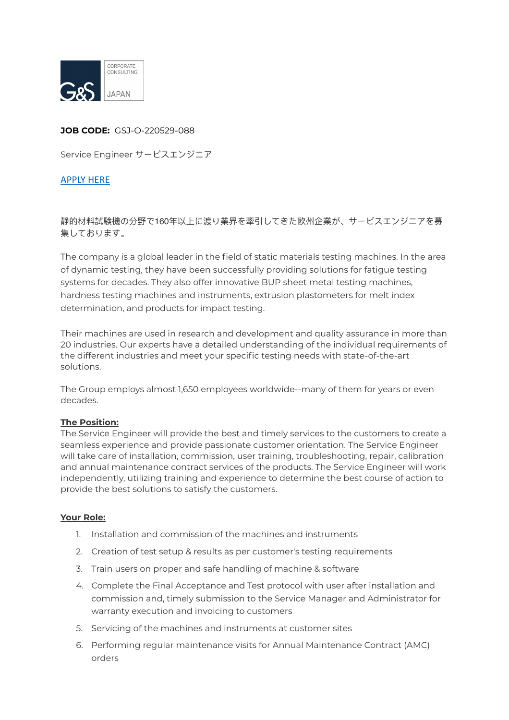

## **JOB CODE:** GSJ-O-220529-088

Service Engineer サービスエンジニア

## [APPLY HERE](https://gs-asia.com/applyjp/)

# 静的材料試験機の分野で160年以上に渡り業界を牽引してきた欧州企業が、サービスエンジニアを募 集しております。

The company is a global leader in the field of static materials testing machines. In the area of dynamic testing, they have been successfully providing solutions for fatigue testing systems for decades. They also offer innovative BUP sheet metal testing machines, hardness testing machines and instruments, extrusion plastometers for melt index determination, and products for impact testing.

Their machines are used in research and development and quality assurance in more than 20 industries. Our experts have a detailed understanding of the individual requirements of the different industries and meet your specific testing needs with state-of-the-art solutions.

The Group employs almost 1,650 employees worldwide--many of them for years or even decades.

#### **The Position:**

The Service Engineer will provide the best and timely services to the customers to create a seamless experience and provide passionate customer orientation. The Service Engineer will take care of installation, commission, user training, troubleshooting, repair, calibration and annual maintenance contract services of the products. The Service Engineer will work independently, utilizing training and experience to determine the best course of action to provide the best solutions to satisfy the customers.

#### **Your Role:**

- 1. Installation and commission of the machines and instruments
- 2. Creation of test setup & results as per customer's testing requirements
- 3. Train users on proper and safe handling of machine & software
- 4. Complete the Final Acceptance and Test protocol with user after installation and commission and, timely submission to the Service Manager and Administrator for warranty execution and invoicing to customers
- 5. Servicing of the machines and instruments at customer sites
- 6. Performing regular maintenance visits for Annual Maintenance Contract (AMC) orders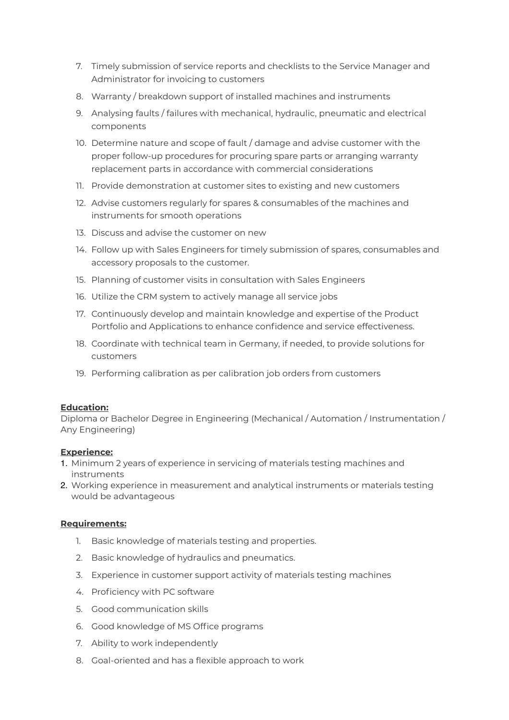- 7. Timely submission of service reports and checklists to the Service Manager and Administrator for invoicing to customers
- 8. Warranty / breakdown support of installed machines and instruments
- 9. Analysing faults / failures with mechanical, hydraulic, pneumatic and electrical components
- 10. Determine nature and scope of fault / damage and advise customer with the proper follow-up procedures for procuring spare parts or arranging warranty replacement parts in accordance with commercial considerations
- 11. Provide demonstration at customer sites to existing and new customers
- 12. Advise customers regularly for spares & consumables of the machines and instruments for smooth operations
- 13. Discuss and advise the customer on new
- 14. Follow up with Sales Engineers for timely submission of spares, consumables and accessory proposals to the customer.
- 15. Planning of customer visits in consultation with Sales Engineers
- 16. Utilize the CRM system to actively manage all service jobs
- 17. Continuously develop and maintain knowledge and expertise of the Product Portfolio and Applications to enhance confidence and service effectiveness.
- 18. Coordinate with technical team in Germany, if needed, to provide solutions for customers
- 19. Performing calibration as per calibration job orders from customers

## **Education:**

Diploma or Bachelor Degree in Engineering (Mechanical / Automation / Instrumentation / Any Engineering)

#### **Experience:**

- 1. Minimum 2 years of experience in servicing of materials testing machines and instruments
- 2. Working experience in measurement and analytical instruments or materials testing would be advantageous

## **Requirements:**

- 1. Basic knowledge of materials testing and properties.
- 2. Basic knowledge of hydraulics and pneumatics.
- 3. Experience in customer support activity of materials testing machines
- 4. Proficiency with PC software
- 5. Good communication skills
- 6. Good knowledge of MS Office programs
- 7. Ability to work independently
- 8. Goal-oriented and has a flexible approach to work